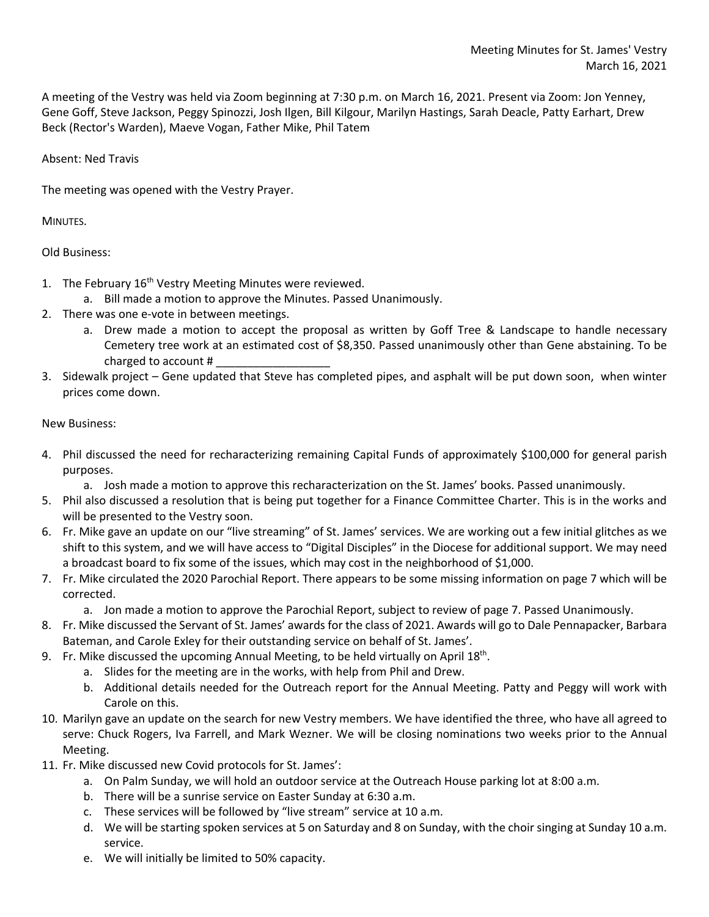A meeting of the Vestry was held via Zoom beginning at 7:30 p.m. on March 16, 2021. Present via Zoom: Jon Yenney, Gene Goff, Steve Jackson, Peggy Spinozzi, Josh Ilgen, Bill Kilgour, Marilyn Hastings, Sarah Deacle, Patty Earhart, Drew Beck (Rector's Warden), Maeve Vogan, Father Mike, Phil Tatem

## Absent: Ned Travis

The meeting was opened with the Vestry Prayer.

MINUTES.

Old Business:

- 1. The February 16<sup>th</sup> Vestry Meeting Minutes were reviewed.
	- a. Bill made a motion to approve the Minutes. Passed Unanimously.
- 2. There was one e-vote in between meetings.
	- a. Drew made a motion to accept the proposal as written by Goff Tree & Landscape to handle necessary Cemetery tree work at an estimated cost of \$8,350. Passed unanimously other than Gene abstaining. To be charged to account # \_\_\_\_\_\_\_\_\_\_\_\_\_\_\_\_\_\_
- 3. Sidewalk project Gene updated that Steve has completed pipes, and asphalt will be put down soon, when winter prices come down.

## New Business:

- 4. Phil discussed the need for recharacterizing remaining Capital Funds of approximately \$100,000 for general parish purposes.
	- a. Josh made a motion to approve this recharacterization on the St. James' books. Passed unanimously.
- 5. Phil also discussed a resolution that is being put together for a Finance Committee Charter. This is in the works and will be presented to the Vestry soon.
- 6. Fr. Mike gave an update on our "live streaming" of St. James' services. We are working out a few initial glitches as we shift to this system, and we will have access to "Digital Disciples" in the Diocese for additional support. We may need a broadcast board to fix some of the issues, which may cost in the neighborhood of \$1,000.
- 7. Fr. Mike circulated the 2020 Parochial Report. There appears to be some missing information on page 7 which will be corrected.

a. Jon made a motion to approve the Parochial Report, subject to review of page 7. Passed Unanimously.

- 8. Fr. Mike discussed the Servant of St. James' awards for the class of 2021. Awards will go to Dale Pennapacker, Barbara Bateman, and Carole Exley for their outstanding service on behalf of St. James'.
- 9. Fr. Mike discussed the upcoming Annual Meeting, to be held virtually on April  $18<sup>th</sup>$ .
	- a. Slides for the meeting are in the works, with help from Phil and Drew.
	- b. Additional details needed for the Outreach report for the Annual Meeting. Patty and Peggy will work with Carole on this.
- 10. Marilyn gave an update on the search for new Vestry members. We have identified the three, who have all agreed to serve: Chuck Rogers, Iva Farrell, and Mark Wezner. We will be closing nominations two weeks prior to the Annual Meeting.
- 11. Fr. Mike discussed new Covid protocols for St. James':
	- a. On Palm Sunday, we will hold an outdoor service at the Outreach House parking lot at 8:00 a.m.
	- b. There will be a sunrise service on Easter Sunday at 6:30 a.m.
	- c. These services will be followed by "live stream" service at 10 a.m.
	- d. We will be starting spoken services at 5 on Saturday and 8 on Sunday, with the choir singing at Sunday 10 a.m. service.
	- e. We will initially be limited to 50% capacity.